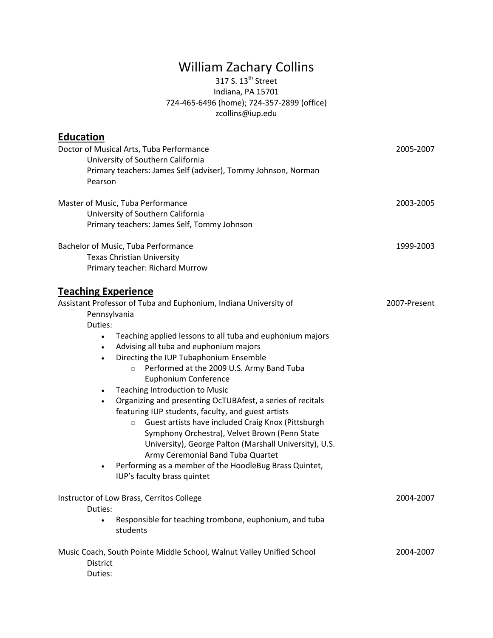## William Zachary Collins

## 317 S.  $13^{\text{th}}$  Street Indiana, PA 15701 724-465-6496 (home); 724-357-2899 (office) zcollins@iup.edu

| <b>Education</b>                                      |                                                                                                                                                                                                                                                                                                                                   |              |
|-------------------------------------------------------|-----------------------------------------------------------------------------------------------------------------------------------------------------------------------------------------------------------------------------------------------------------------------------------------------------------------------------------|--------------|
| Pearson                                               | Doctor of Musical Arts, Tuba Performance<br>University of Southern California<br>Primary teachers: James Self (adviser), Tommy Johnson, Norman                                                                                                                                                                                    | 2005-2007    |
|                                                       | Master of Music, Tuba Performance<br>University of Southern California<br>Primary teachers: James Self, Tommy Johnson                                                                                                                                                                                                             | 2003-2005    |
|                                                       | Bachelor of Music, Tuba Performance<br><b>Texas Christian University</b><br>Primary teacher: Richard Murrow                                                                                                                                                                                                                       | 1999-2003    |
| <b>Teaching Experience</b><br>Pennsylvania<br>Duties: | Assistant Professor of Tuba and Euphonium, Indiana University of                                                                                                                                                                                                                                                                  | 2007-Present |
| $\bullet$<br>٠<br>$\bullet$                           | Teaching applied lessons to all tuba and euphonium majors<br>Advising all tuba and euphonium majors<br>Directing the IUP Tubaphonium Ensemble<br>Performed at the 2009 U.S. Army Band Tuba<br>$\circ$<br><b>Euphonium Conference</b><br>Teaching Introduction to Music                                                            |              |
|                                                       | Organizing and presenting OcTUBAfest, a series of recitals<br>featuring IUP students, faculty, and guest artists<br>Guest artists have included Craig Knox (Pittsburgh<br>$\circ$<br>Symphony Orchestra), Velvet Brown (Penn State<br>University), George Palton (Marshall University), U.S.<br>Army Ceremonial Band Tuba Quartet |              |
| $\bullet$                                             | Performing as a member of the HoodleBug Brass Quintet,<br>IUP's faculty brass quintet                                                                                                                                                                                                                                             |              |
| Duties:                                               | Instructor of Low Brass, Cerritos College                                                                                                                                                                                                                                                                                         | 2004-2007    |
| $\bullet$                                             | Responsible for teaching trombone, euphonium, and tuba<br>students                                                                                                                                                                                                                                                                |              |
| District<br>Duties:                                   | Music Coach, South Pointe Middle School, Walnut Valley Unified School                                                                                                                                                                                                                                                             | 2004-2007    |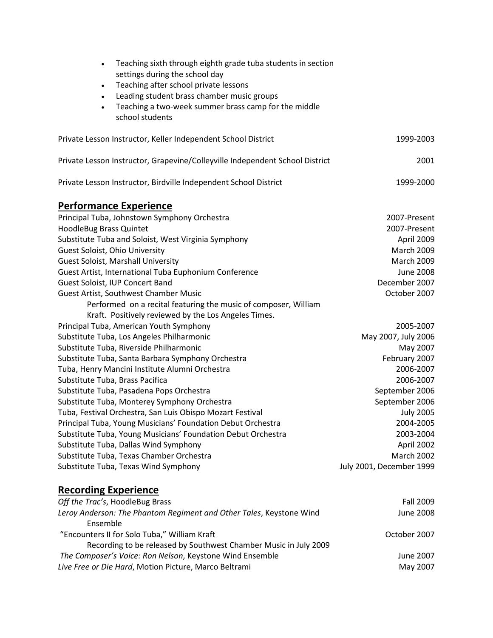| Teaching sixth through eighth grade tuba students in section<br>$\bullet$<br>settings during the school day<br>Teaching after school private lessons<br>$\bullet$<br>Leading student brass chamber music groups<br>$\bullet$<br>Teaching a two-week summer brass camp for the middle<br>$\bullet$<br>school students |                          |
|----------------------------------------------------------------------------------------------------------------------------------------------------------------------------------------------------------------------------------------------------------------------------------------------------------------------|--------------------------|
| Private Lesson Instructor, Keller Independent School District                                                                                                                                                                                                                                                        | 1999-2003                |
| Private Lesson Instructor, Grapevine/Colleyville Independent School District                                                                                                                                                                                                                                         | 2001                     |
| Private Lesson Instructor, Birdville Independent School District                                                                                                                                                                                                                                                     | 1999-2000                |
| <u>Performance Experience</u>                                                                                                                                                                                                                                                                                        |                          |
| Principal Tuba, Johnstown Symphony Orchestra                                                                                                                                                                                                                                                                         | 2007-Present             |
| HoodleBug Brass Quintet                                                                                                                                                                                                                                                                                              | 2007-Present             |
| Substitute Tuba and Soloist, West Virginia Symphony                                                                                                                                                                                                                                                                  | April 2009               |
| Guest Soloist, Ohio University                                                                                                                                                                                                                                                                                       | <b>March 2009</b>        |
| <b>Guest Soloist, Marshall University</b>                                                                                                                                                                                                                                                                            | <b>March 2009</b>        |
| Guest Artist, International Tuba Euphonium Conference                                                                                                                                                                                                                                                                | <b>June 2008</b>         |
| Guest Soloist, IUP Concert Band                                                                                                                                                                                                                                                                                      | December 2007            |
| Guest Artist, Southwest Chamber Music                                                                                                                                                                                                                                                                                | October 2007             |
| Performed on a recital featuring the music of composer, William                                                                                                                                                                                                                                                      |                          |
| Kraft. Positively reviewed by the Los Angeles Times.                                                                                                                                                                                                                                                                 |                          |
| Principal Tuba, American Youth Symphony                                                                                                                                                                                                                                                                              | 2005-2007                |
| Substitute Tuba, Los Angeles Philharmonic                                                                                                                                                                                                                                                                            | May 2007, July 2006      |
| Substitute Tuba, Riverside Philharmonic                                                                                                                                                                                                                                                                              | May 2007                 |
| Substitute Tuba, Santa Barbara Symphony Orchestra                                                                                                                                                                                                                                                                    | February 2007            |
| Tuba, Henry Mancini Institute Alumni Orchestra                                                                                                                                                                                                                                                                       | 2006-2007                |
| Substitute Tuba, Brass Pacifica                                                                                                                                                                                                                                                                                      | 2006-2007                |
| Substitute Tuba, Pasadena Pops Orchestra                                                                                                                                                                                                                                                                             | September 2006           |
| Substitute Tuba, Monterey Symphony Orchestra                                                                                                                                                                                                                                                                         | September 2006           |
| Tuba, Festival Orchestra, San Luis Obispo Mozart Festival                                                                                                                                                                                                                                                            | <b>July 2005</b>         |
| Principal Tuba, Young Musicians' Foundation Debut Orchestra                                                                                                                                                                                                                                                          | 2004-2005                |
|                                                                                                                                                                                                                                                                                                                      |                          |
| Substitute Tuba, Young Musicians' Foundation Debut Orchestra                                                                                                                                                                                                                                                         | 2003-2004                |
| Substitute Tuba, Dallas Wind Symphony                                                                                                                                                                                                                                                                                | April 2002               |
| Substitute Tuba, Texas Chamber Orchestra                                                                                                                                                                                                                                                                             | <b>March 2002</b>        |
| Substitute Tuba, Texas Wind Symphony                                                                                                                                                                                                                                                                                 | July 2001, December 1999 |
| <u>Recording Experience</u>                                                                                                                                                                                                                                                                                          |                          |
| Off the Trac's, HoodleBug Brass                                                                                                                                                                                                                                                                                      | Fall 2009                |
| Leroy Anderson: The Phantom Regiment and Other Tales, Keystone Wind<br>Ensemble                                                                                                                                                                                                                                      | <b>June 2008</b>         |
| "Encounters II for Solo Tuba," William Kraft<br>Recording to be released by Southwest Chamber Music in July 2009                                                                                                                                                                                                     | October 2007             |
| The Composer's Voice: Ron Nelson, Keystone Wind Ensemble                                                                                                                                                                                                                                                             | June 2007                |
|                                                                                                                                                                                                                                                                                                                      |                          |

*Live Free or Die Hard*, Motion Picture, Marco Beltrami

May 2007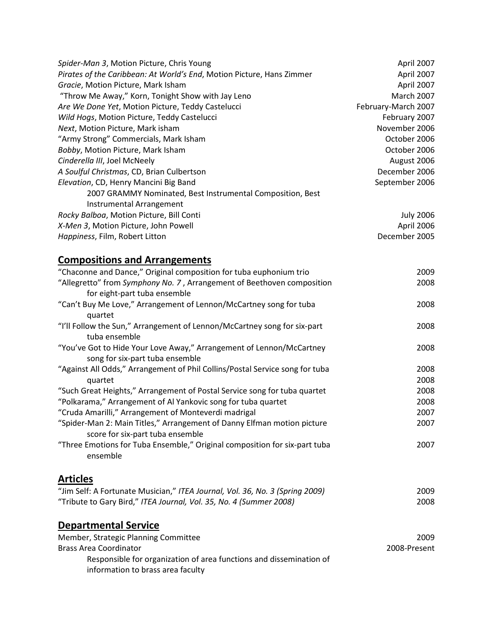| Spider-Man 3, Motion Picture, Chris Young                             | April 2007          |
|-----------------------------------------------------------------------|---------------------|
| Pirates of the Caribbean: At World's End, Motion Picture, Hans Zimmer | April 2007          |
| Gracie, Motion Picture, Mark Isham                                    | April 2007          |
| "Throw Me Away," Korn, Tonight Show with Jay Leno                     | <b>March 2007</b>   |
| Are We Done Yet, Motion Picture, Teddy Castelucci                     | February-March 2007 |
| Wild Hogs, Motion Picture, Teddy Castelucci                           | February 2007       |
| Next, Motion Picture, Mark isham                                      | November 2006       |
| "Army Strong" Commercials, Mark Isham                                 | October 2006        |
| Bobby, Motion Picture, Mark Isham                                     | October 2006        |
| Cinderella III, Joel McNeely                                          | August 2006         |
| A Soulful Christmas, CD, Brian Culbertson                             | December 2006       |
| Elevation, CD, Henry Mancini Big Band                                 | September 2006      |
| 2007 GRAMMY Nominated, Best Instrumental Composition, Best            |                     |
| Instrumental Arrangement                                              |                     |
| Rocky Balboa, Motion Picture, Bill Conti                              | <b>July 2006</b>    |
| X-Men 3, Motion Picture, John Powell                                  | April 2006          |
| Happiness, Film, Robert Litton                                        | December 2005       |
| <b>Compositions and Arrangements</b>                                  |                     |

| "Chaconne and Dance," Original composition for tuba euphonium trio           | 2009 |
|------------------------------------------------------------------------------|------|
| "Allegretto" from Symphony No. 7, Arrangement of Beethoven composition       | 2008 |
| for eight-part tuba ensemble                                                 |      |
| "Can't Buy Me Love," Arrangement of Lennon/McCartney song for tuba           | 2008 |
| quartet                                                                      |      |
| "I'll Follow the Sun," Arrangement of Lennon/McCartney song for six-part     | 2008 |
| tuba ensemble                                                                |      |
| "You've Got to Hide Your Love Away," Arrangement of Lennon/McCartney         | 2008 |
| song for six-part tuba ensemble                                              |      |
| "Against All Odds," Arrangement of Phil Collins/Postal Service song for tuba | 2008 |
| quartet                                                                      | 2008 |
| "Such Great Heights," Arrangement of Postal Service song for tuba quartet    | 2008 |
| "Polkarama," Arrangement of Al Yankovic song for tuba quartet                | 2008 |
| "Cruda Amarilli," Arrangement of Monteverdi madrigal                         | 2007 |
| "Spider-Man 2: Main Titles," Arrangement of Danny Elfman motion picture      | 2007 |
| score for six-part tuba ensemble                                             |      |
| "Three Emotions for Tuba Ensemble," Original composition for six-part tuba   | 2007 |
| ensemble                                                                     |      |
|                                                                              |      |
| <b>Articles</b>                                                              |      |
| "Jim Self: A Fortunate Musician," ITEA Journal, Vol. 36, No. 3 (Spring 2009) | 2009 |
| "Tribute to Gary Bird," ITEA Journal, Vol. 35, No. 4 (Summer 2008)           | 2008 |
|                                                                              |      |

## **Departmental Service**

| Member, Strategic Planning Committee                                | 2009         |
|---------------------------------------------------------------------|--------------|
| Brass Area Coordinator                                              | 2008-Present |
| Responsible for organization of area functions and dissemination of |              |
| information to brass area faculty                                   |              |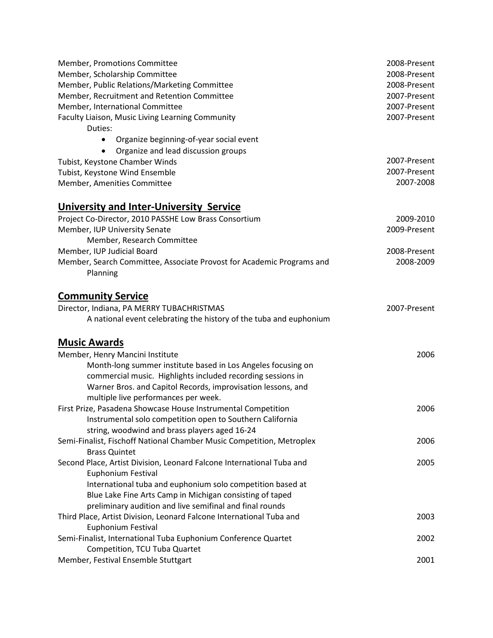| Member, Promotions Committee                                                                  | 2008-Present |
|-----------------------------------------------------------------------------------------------|--------------|
| Member, Scholarship Committee                                                                 | 2008-Present |
| Member, Public Relations/Marketing Committee                                                  | 2008-Present |
| Member, Recruitment and Retention Committee                                                   | 2007-Present |
| Member, International Committee                                                               | 2007-Present |
| Faculty Liaison, Music Living Learning Community                                              | 2007-Present |
| Duties:                                                                                       |              |
| Organize beginning-of-year social event                                                       |              |
| Organize and lead discussion groups                                                           |              |
| Tubist, Keystone Chamber Winds                                                                | 2007-Present |
| Tubist, Keystone Wind Ensemble                                                                | 2007-Present |
| Member, Amenities Committee                                                                   | 2007-2008    |
| <b>University and Inter-University Service</b>                                                |              |
| Project Co-Director, 2010 PASSHE Low Brass Consortium                                         | 2009-2010    |
| Member, IUP University Senate                                                                 | 2009-Present |
| Member, Research Committee                                                                    |              |
| Member, IUP Judicial Board                                                                    | 2008-Present |
| Member, Search Committee, Associate Provost for Academic Programs and                         | 2008-2009    |
| Planning                                                                                      |              |
| <b>Community Service</b>                                                                      |              |
| Director, Indiana, PA MERRY TUBACHRISTMAS                                                     | 2007-Present |
| A national event celebrating the history of the tuba and euphonium                            |              |
|                                                                                               |              |
| <b>Music Awards</b>                                                                           |              |
| Member, Henry Mancini Institute                                                               | 2006         |
| Month-long summer institute based in Los Angeles focusing on                                  |              |
| commercial music. Highlights included recording sessions in                                   |              |
| Warner Bros. and Capitol Records, improvisation lessons, and                                  |              |
| multiple live performances per week.                                                          |              |
| First Prize, Pasadena Showcase House Instrumental Competition                                 | 2006         |
| Instrumental solo competition open to Southern California                                     |              |
| string, woodwind and brass players aged 16-24                                                 |              |
| Semi-Finalist, Fischoff National Chamber Music Competition, Metroplex<br><b>Brass Quintet</b> | 2006         |
| Second Place, Artist Division, Leonard Falcone International Tuba and                         | 2005         |
| Euphonium Festival                                                                            |              |
| International tuba and euphonium solo competition based at                                    |              |
| Blue Lake Fine Arts Camp in Michigan consisting of taped                                      |              |
| preliminary audition and live semifinal and final rounds                                      |              |
| Third Place, Artist Division, Leonard Falcone International Tuba and                          | 2003         |
| Euphonium Festival                                                                            |              |
| Semi-Finalist, International Tuba Euphonium Conference Quartet                                | 2002         |
| Competition, TCU Tuba Quartet                                                                 |              |
| Member, Festival Ensemble Stuttgart                                                           | 2001         |
|                                                                                               |              |